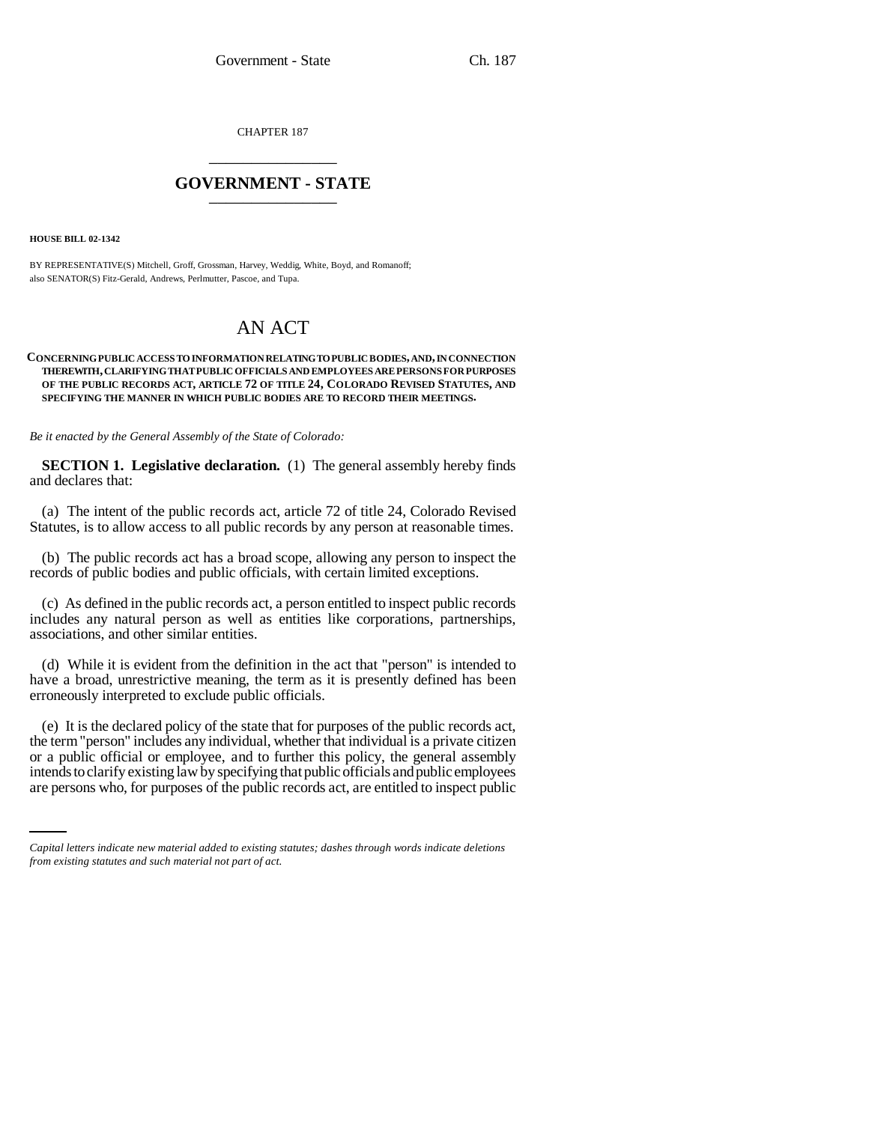CHAPTER 187 \_\_\_\_\_\_\_\_\_\_\_\_\_\_\_

## **GOVERNMENT - STATE** \_\_\_\_\_\_\_\_\_\_\_\_\_\_\_

**HOUSE BILL 02-1342**

BY REPRESENTATIVE(S) Mitchell, Groff, Grossman, Harvey, Weddig, White, Boyd, and Romanoff; also SENATOR(S) Fitz-Gerald, Andrews, Perlmutter, Pascoe, and Tupa.

## AN ACT

## **CONCERNING PUBLIC ACCESS TO INFORMATION RELATING TO PUBLIC BODIES, AND, IN CONNECTION THEREWITH, CLARIFYING THAT PUBLIC OFFICIALS AND EMPLOYEES ARE PERSONS FOR PURPOSES OF THE PUBLIC RECORDS ACT, ARTICLE 72 OF TITLE 24, COLORADO REVISED STATUTES, AND SPECIFYING THE MANNER IN WHICH PUBLIC BODIES ARE TO RECORD THEIR MEETINGS.**

*Be it enacted by the General Assembly of the State of Colorado:*

**SECTION 1. Legislative declaration.** (1) The general assembly hereby finds and declares that:

(a) The intent of the public records act, article 72 of title 24, Colorado Revised Statutes, is to allow access to all public records by any person at reasonable times.

(b) The public records act has a broad scope, allowing any person to inspect the records of public bodies and public officials, with certain limited exceptions.

(c) As defined in the public records act, a person entitled to inspect public records includes any natural person as well as entities like corporations, partnerships, associations, and other similar entities.

(d) While it is evident from the definition in the act that "person" is intended to have a broad, unrestrictive meaning, the term as it is presently defined has been erroneously interpreted to exclude public officials.

or a public official or employee, and to further this policy, the general assembly (e) It is the declared policy of the state that for purposes of the public records act, the term "person" includes any individual, whether that individual is a private citizen intends to clarify existing law by specifying that public officials and public employees are persons who, for purposes of the public records act, are entitled to inspect public

*Capital letters indicate new material added to existing statutes; dashes through words indicate deletions from existing statutes and such material not part of act.*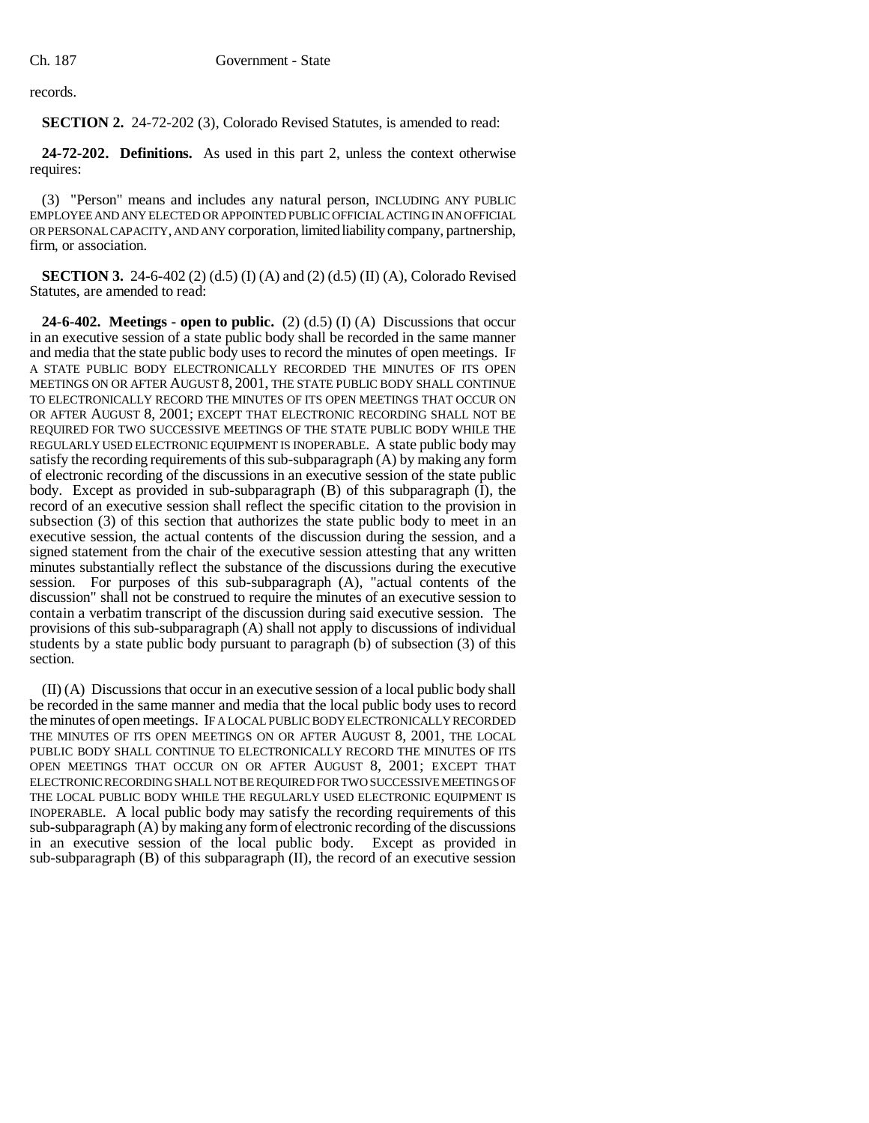records.

**SECTION 2.** 24-72-202 (3), Colorado Revised Statutes, is amended to read:

**24-72-202. Definitions.** As used in this part 2, unless the context otherwise requires:

(3) "Person" means and includes any natural person, INCLUDING ANY PUBLIC EMPLOYEE AND ANY ELECTED OR APPOINTED PUBLIC OFFICIAL ACTING IN AN OFFICIAL OR PERSONAL CAPACITY, AND ANY corporation, limited liability company, partnership, firm, or association.

**SECTION 3.** 24-6-402 (2) (d.5) (I) (A) and (2) (d.5) (II) (A), Colorado Revised Statutes, are amended to read:

**24-6-402. Meetings - open to public.** (2)  $(d.5)$  (I)  $(A)$  Discussions that occur in an executive session of a state public body shall be recorded in the same manner and media that the state public body uses to record the minutes of open meetings. IF A STATE PUBLIC BODY ELECTRONICALLY RECORDED THE MINUTES OF ITS OPEN MEETINGS ON OR AFTER AUGUST 8, 2001, THE STATE PUBLIC BODY SHALL CONTINUE TO ELECTRONICALLY RECORD THE MINUTES OF ITS OPEN MEETINGS THAT OCCUR ON OR AFTER AUGUST 8, 2001; EXCEPT THAT ELECTRONIC RECORDING SHALL NOT BE REQUIRED FOR TWO SUCCESSIVE MEETINGS OF THE STATE PUBLIC BODY WHILE THE REGULARLY USED ELECTRONIC EQUIPMENT IS INOPERABLE. A state public body may satisfy the recording requirements of this sub-subparagraph (A) by making any form of electronic recording of the discussions in an executive session of the state public body. Except as provided in sub-subparagraph (B) of this subparagraph (I), the record of an executive session shall reflect the specific citation to the provision in subsection (3) of this section that authorizes the state public body to meet in an executive session, the actual contents of the discussion during the session, and a signed statement from the chair of the executive session attesting that any written minutes substantially reflect the substance of the discussions during the executive session. For purposes of this sub-subparagraph (A), "actual contents of the discussion" shall not be construed to require the minutes of an executive session to contain a verbatim transcript of the discussion during said executive session. The provisions of this sub-subparagraph (A) shall not apply to discussions of individual students by a state public body pursuant to paragraph (b) of subsection (3) of this section.

(II) (A) Discussions that occur in an executive session of a local public body shall be recorded in the same manner and media that the local public body uses to record the minutes of open meetings. IF A LOCAL PUBLIC BODY ELECTRONICALLY RECORDED THE MINUTES OF ITS OPEN MEETINGS ON OR AFTER AUGUST 8, 2001, THE LOCAL PUBLIC BODY SHALL CONTINUE TO ELECTRONICALLY RECORD THE MINUTES OF ITS OPEN MEETINGS THAT OCCUR ON OR AFTER AUGUST 8, 2001; EXCEPT THAT ELECTRONIC RECORDING SHALL NOT BE REQUIRED FOR TWO SUCCESSIVE MEETINGS OF THE LOCAL PUBLIC BODY WHILE THE REGULARLY USED ELECTRONIC EQUIPMENT IS INOPERABLE. A local public body may satisfy the recording requirements of this sub-subparagraph (A) by making any form of electronic recording of the discussions in an executive session of the local public body. Except as provided in sub-subparagraph (B) of this subparagraph (II), the record of an executive session